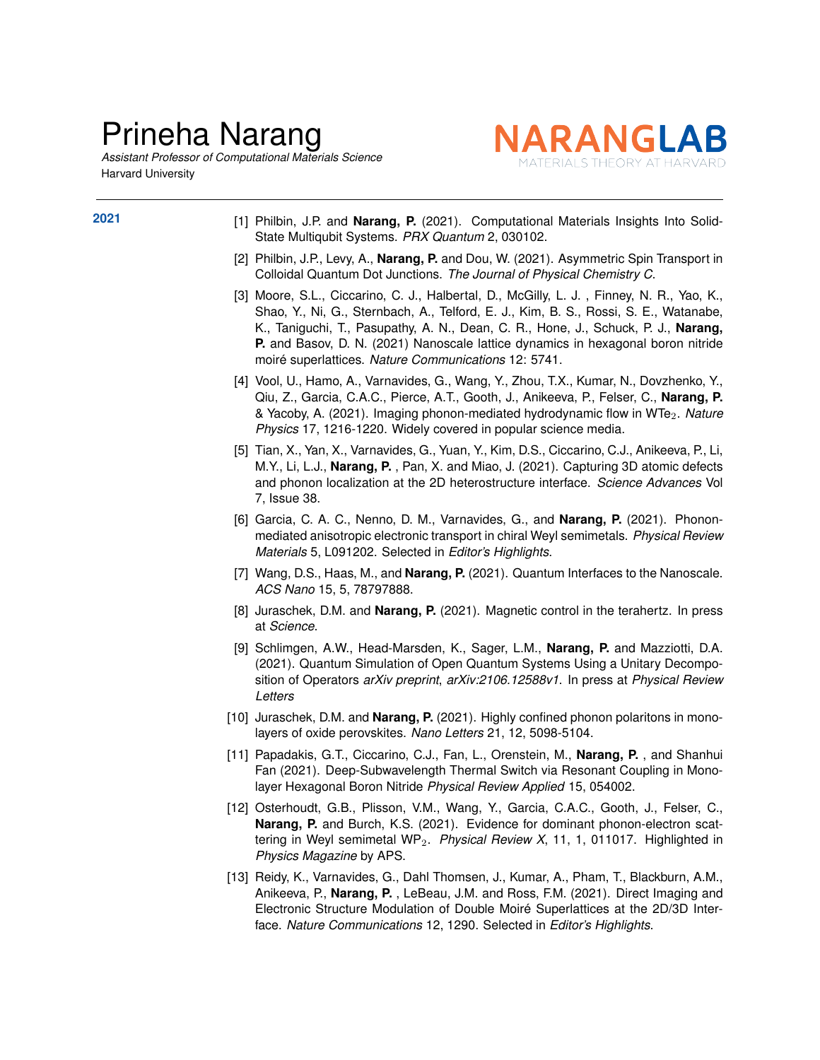## Prineha Narang

*Assistant Professor of Computational Materials Science* Harvard University



- **2021** [1] Philbin, J.P. and **Narang, P.** (2021). Computational Materials Insights Into Solid-State Multiqubit Systems. *PRX Quantum* 2, 030102.
	- [2] Philbin, J.P., Levy, A., **Narang, P.** and Dou, W. (2021). Asymmetric Spin Transport in Colloidal Quantum Dot Junctions. *The Journal of Physical Chemistry C*.
	- [3] Moore, S.L., Ciccarino, C. J., Halbertal, D., McGilly, L. J. , Finney, N. R., Yao, K., Shao, Y., Ni, G., Sternbach, A., Telford, E. J., Kim, B. S., Rossi, S. E., Watanabe, K., Taniguchi, T., Pasupathy, A. N., Dean, C. R., Hone, J., Schuck, P. J., **Narang, P.** and Basov, D. N. (2021) Nanoscale lattice dynamics in hexagonal boron nitride moiré superlattices. *Nature Communications* 12: 5741.
	- [4] Vool, U., Hamo, A., Varnavides, G., Wang, Y., Zhou, T.X., Kumar, N., Dovzhenko, Y., Qiu, Z., Garcia, C.A.C., Pierce, A.T., Gooth, J., Anikeeva, P., Felser, C., **Narang, P.** & Yacoby, A. (2021). Imaging phonon-mediated hydrodynamic flow in WTe2. *Nature Physics* 17, 1216-1220. Widely covered in popular science media.
	- [5] Tian, X., Yan, X., Varnavides, G., Yuan, Y., Kim, D.S., Ciccarino, C.J., Anikeeva, P., Li, M.Y., Li, L.J., **Narang, P.** , Pan, X. and Miao, J. (2021). Capturing 3D atomic defects and phonon localization at the 2D heterostructure interface. *Science Advances* Vol 7, Issue 38.
	- [6] Garcia, C. A. C., Nenno, D. M., Varnavides, G., and **Narang, P.** (2021). Phononmediated anisotropic electronic transport in chiral Weyl semimetals. *Physical Review Materials* 5, L091202. Selected in *Editor's Highlights*.
	- [7] Wang, D.S., Haas, M., and **Narang, P.** (2021). Quantum Interfaces to the Nanoscale. *ACS Nano* 15, 5, 78797888.
	- [8] Juraschek, D.M. and **Narang, P.** (2021). Magnetic control in the terahertz. In press at *Science*.
	- [9] Schlimgen, A.W., Head-Marsden, K., Sager, L.M., **Narang, P.** and Mazziotti, D.A. (2021). Quantum Simulation of Open Quantum Systems Using a Unitary Decomposition of Operators *arXiv preprint*, *arXiv:2106.12588v1*. In press at *Physical Review Letters*
	- [10] Juraschek, D.M. and **Narang, P.** (2021). Highly confined phonon polaritons in monolayers of oxide perovskites. *Nano Letters* 21, 12, 5098-5104.
	- [11] Papadakis, G.T., Ciccarino, C.J., Fan, L., Orenstein, M., **Narang, P.** , and Shanhui Fan (2021). Deep-Subwavelength Thermal Switch via Resonant Coupling in Monolayer Hexagonal Boron Nitride *Physical Review Applied* 15, 054002.
	- [12] Osterhoudt, G.B., Plisson, V.M., Wang, Y., Garcia, C.A.C., Gooth, J., Felser, C., **Narang, P.** and Burch, K.S. (2021). Evidence for dominant phonon-electron scattering in Weyl semimetal WP2. *Physical Review X*, 11, 1, 011017. Highlighted in *Physics Magazine* by APS.
	- [13] Reidy, K., Varnavides, G., Dahl Thomsen, J., Kumar, A., Pham, T., Blackburn, A.M., Anikeeva, P., **Narang, P.** , LeBeau, J.M. and Ross, F.M. (2021). Direct Imaging and Electronic Structure Modulation of Double Moiré Superlattices at the 2D/3D Interface. *Nature Communications* 12, 1290. Selected in *Editor's Highlights*.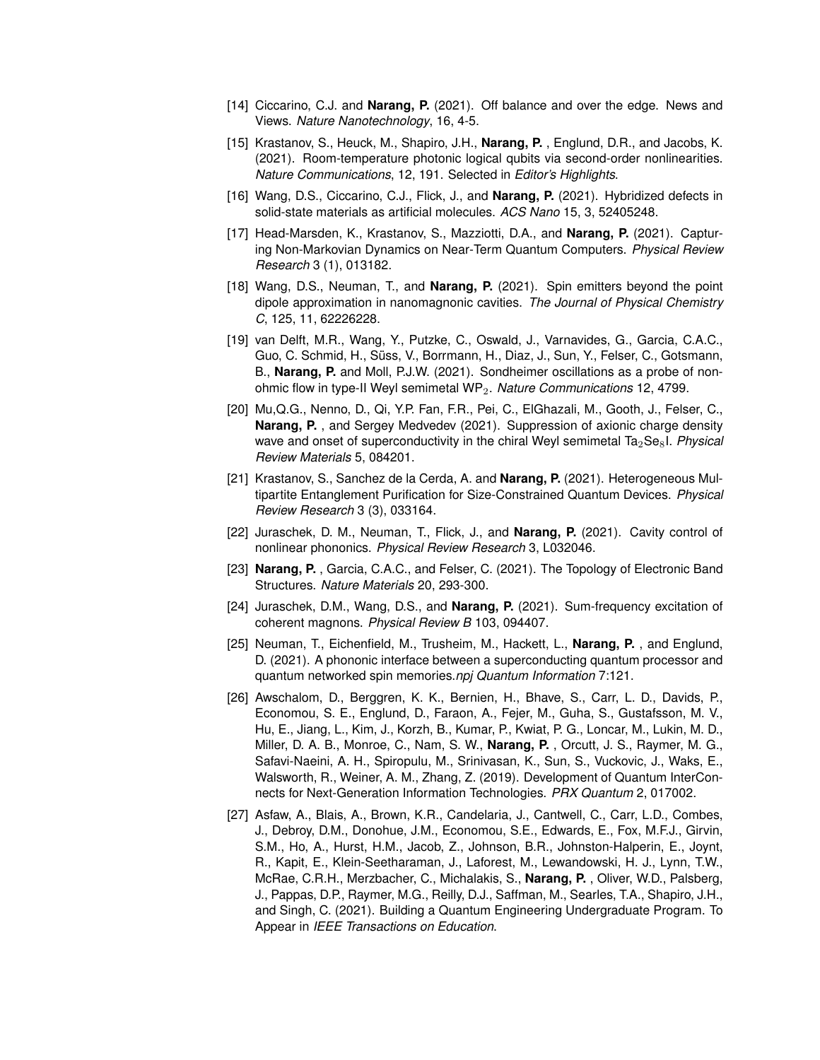- [14] Ciccarino, C.J. and **Narang, P.** (2021). Off balance and over the edge. News and Views. *Nature Nanotechnology*, 16, 4-5.
- [15] Krastanov, S., Heuck, M., Shapiro, J.H., **Narang, P.** , Englund, D.R., and Jacobs, K. (2021). Room-temperature photonic logical qubits via second-order nonlinearities. *Nature Communications*, 12, 191. Selected in *Editor's Highlights*.
- [16] Wang, D.S., Ciccarino, C.J., Flick, J., and **Narang, P.** (2021). Hybridized defects in solid-state materials as artificial molecules. *ACS Nano* 15, 3, 52405248.
- [17] Head-Marsden, K., Krastanov, S., Mazziotti, D.A., and **Narang, P.** (2021). Capturing Non-Markovian Dynamics on Near-Term Quantum Computers. *Physical Review Research* 3 (1), 013182.
- [18] Wang, D.S., Neuman, T., and **Narang, P.** (2021). Spin emitters beyond the point dipole approximation in nanomagnonic cavities. *The Journal of Physical Chemistry C*, 125, 11, 62226228.
- [19] van Delft, M.R., Wang, Y., Putzke, C., Oswald, J., Varnavides, G., Garcia, C.A.C., Guo, C. Schmid, H., Süss, V., Borrmann, H., Diaz, J., Sun, Y., Felser, C., Gotsmann, B., **Narang, P.** and Moll, P.J.W. (2021). Sondheimer oscillations as a probe of nonohmic flow in type-II Weyl semimetal WP2. *Nature Communications* 12, 4799.
- [20] Mu,Q.G., Nenno, D., Qi, Y.P. Fan, F.R., Pei, C., ElGhazali, M., Gooth, J., Felser, C., **Narang, P.** , and Sergey Medvedev (2021). Suppression of axionic charge density wave and onset of superconductivity in the chiral Weyl semimetal Ta<sub>2</sub>Se<sub>8</sub>I. *Physical Review Materials* 5, 084201.
- [21] Krastanov, S., Sanchez de la Cerda, A. and **Narang, P.** (2021). Heterogeneous Multipartite Entanglement Purification for Size-Constrained Quantum Devices. *Physical Review Research* 3 (3), 033164.
- [22] Juraschek, D. M., Neuman, T., Flick, J., and **Narang, P.** (2021). Cavity control of nonlinear phononics. *Physical Review Research* 3, L032046.
- [23] **Narang, P.** , Garcia, C.A.C., and Felser, C. (2021). The Topology of Electronic Band Structures. *Nature Materials* 20, 293-300.
- [24] Juraschek, D.M., Wang, D.S., and **Narang, P.** (2021). Sum-frequency excitation of coherent magnons. *Physical Review B* 103, 094407.
- [25] Neuman, T., Eichenfield, M., Trusheim, M., Hackett, L., **Narang, P.** , and Englund, D. (2021). A phononic interface between a superconducting quantum processor and quantum networked spin memories.*npj Quantum Information* 7:121.
- [26] Awschalom, D., Berggren, K. K., Bernien, H., Bhave, S., Carr, L. D., Davids, P., Economou, S. E., Englund, D., Faraon, A., Fejer, M., Guha, S., Gustafsson, M. V., Hu, E., Jiang, L., Kim, J., Korzh, B., Kumar, P., Kwiat, P. G., Loncar, M., Lukin, M. D., Miller, D. A. B., Monroe, C., Nam, S. W., **Narang, P.** , Orcutt, J. S., Raymer, M. G., Safavi-Naeini, A. H., Spiropulu, M., Srinivasan, K., Sun, S., Vuckovic, J., Waks, E., Walsworth, R., Weiner, A. M., Zhang, Z. (2019). Development of Quantum InterConnects for Next-Generation Information Technologies. *PRX Quantum* 2, 017002.
- [27] Asfaw, A., Blais, A., Brown, K.R., Candelaria, J., Cantwell, C., Carr, L.D., Combes, J., Debroy, D.M., Donohue, J.M., Economou, S.E., Edwards, E., Fox, M.F.J., Girvin, S.M., Ho, A., Hurst, H.M., Jacob, Z., Johnson, B.R., Johnston-Halperin, E., Joynt, R., Kapit, E., Klein-Seetharaman, J., Laforest, M., Lewandowski, H. J., Lynn, T.W., McRae, C.R.H., Merzbacher, C., Michalakis, S., **Narang, P.** , Oliver, W.D., Palsberg, J., Pappas, D.P., Raymer, M.G., Reilly, D.J., Saffman, M., Searles, T.A., Shapiro, J.H., and Singh, C. (2021). Building a Quantum Engineering Undergraduate Program. To Appear in *IEEE Transactions on Education*.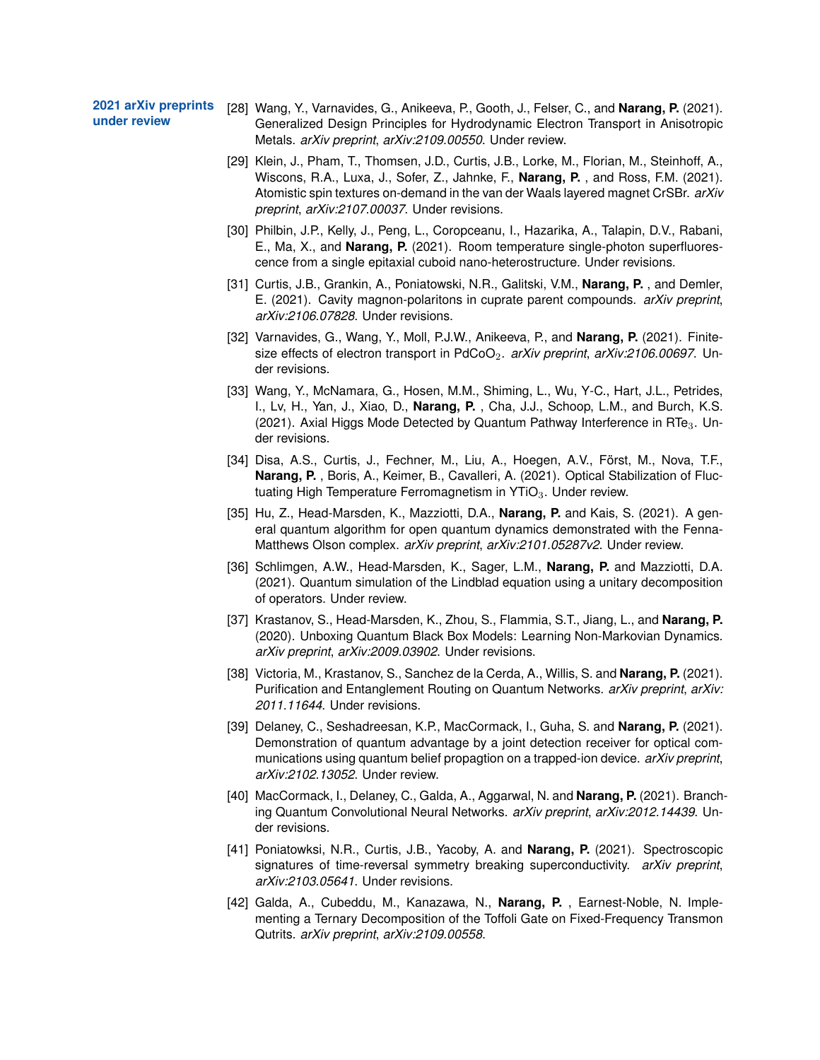**2021 arXiv preprints under review**

- [28] Wang, Y., Varnavides, G., Anikeeva, P., Gooth, J., Felser, C., and **Narang, P.** (2021). Generalized Design Principles for Hydrodynamic Electron Transport in Anisotropic Metals. *arXiv preprint*, *arXiv:2109.00550*. Under review.
- [29] Klein, J., Pham, T., Thomsen, J.D., Curtis, J.B., Lorke, M., Florian, M., Steinhoff, A., Wiscons, R.A., Luxa, J., Sofer, Z., Jahnke, F., **Narang, P.** , and Ross, F.M. (2021). Atomistic spin textures on-demand in the van der Waals layered magnet CrSBr. *arXiv preprint*, *arXiv:2107.00037*. Under revisions.
- [30] Philbin, J.P., Kelly, J., Peng, L., Coropceanu, I., Hazarika, A., Talapin, D.V., Rabani, E., Ma, X., and **Narang, P.** (2021). Room temperature single-photon superfluorescence from a single epitaxial cuboid nano-heterostructure. Under revisions.
- [31] Curtis, J.B., Grankin, A., Poniatowski, N.R., Galitski, V.M., **Narang, P.** , and Demler, E. (2021). Cavity magnon-polaritons in cuprate parent compounds. *arXiv preprint*, *arXiv:2106.07828*. Under revisions.
- [32] Varnavides, G., Wang, Y., Moll, P.J.W., Anikeeva, P., and **Narang, P.** (2021). Finitesize effects of electron transport in PdCoO<sub>2</sub>. *arXiv preprint, arXiv:2106.00697*. Under revisions.
- [33] Wang, Y., McNamara, G., Hosen, M.M., Shiming, L., Wu, Y-C., Hart, J.L., Petrides, I., Lv, H., Yan, J., Xiao, D., **Narang, P.** , Cha, J.J., Schoop, L.M., and Burch, K.S. (2021). Axial Higgs Mode Detected by Quantum Pathway Interference in RTe<sub>3</sub>. Under revisions.
- [34] Disa, A.S., Curtis, J., Fechner, M., Liu, A., Hoegen, A.V., Först, M., Nova, T.F., **Narang, P.** , Boris, A., Keimer, B., Cavalleri, A. (2021). Optical Stabilization of Fluctuating High Temperature Ferromagnetism in  $YTiO<sub>3</sub>$ . Under review.
- [35] Hu, Z., Head-Marsden, K., Mazziotti, D.A., **Narang, P.** and Kais, S. (2021). A general quantum algorithm for open quantum dynamics demonstrated with the Fenna-Matthews Olson complex. *arXiv preprint*, *arXiv:2101.05287v2*. Under review.
- [36] Schlimgen, A.W., Head-Marsden, K., Sager, L.M., **Narang, P.** and Mazziotti, D.A. (2021). Quantum simulation of the Lindblad equation using a unitary decomposition of operators. Under review.
- [37] Krastanov, S., Head-Marsden, K., Zhou, S., Flammia, S.T., Jiang, L., and **Narang, P.** (2020). Unboxing Quantum Black Box Models: Learning Non-Markovian Dynamics. *arXiv preprint*, *arXiv:2009.03902*. Under revisions.
- [38] Victoria, M., Krastanov, S., Sanchez de la Cerda, A., Willis, S. and **Narang, P.** (2021). Purification and Entanglement Routing on Quantum Networks. *arXiv preprint*, *arXiv: 2011.11644*. Under revisions.
- [39] Delaney, C., Seshadreesan, K.P., MacCormack, I., Guha, S. and **Narang, P.** (2021). Demonstration of quantum advantage by a joint detection receiver for optical communications using quantum belief propagtion on a trapped-ion device. *arXiv preprint*, *arXiv:2102.13052*. Under review.
- [40] MacCormack, I., Delaney, C., Galda, A., Aggarwal, N. and **Narang, P.** (2021). Branching Quantum Convolutional Neural Networks. *arXiv preprint*, *arXiv:2012.14439*. Under revisions.
- [41] Poniatowksi, N.R., Curtis, J.B., Yacoby, A. and **Narang, P.** (2021). Spectroscopic signatures of time-reversal symmetry breaking superconductivity. *arXiv preprint*, *arXiv:2103.05641*. Under revisions.
- [42] Galda, A., Cubeddu, M., Kanazawa, N., **Narang, P.** , Earnest-Noble, N. Implementing a Ternary Decomposition of the Toffoli Gate on Fixed-Frequency Transmon Qutrits. *arXiv preprint*, *arXiv:2109.00558*.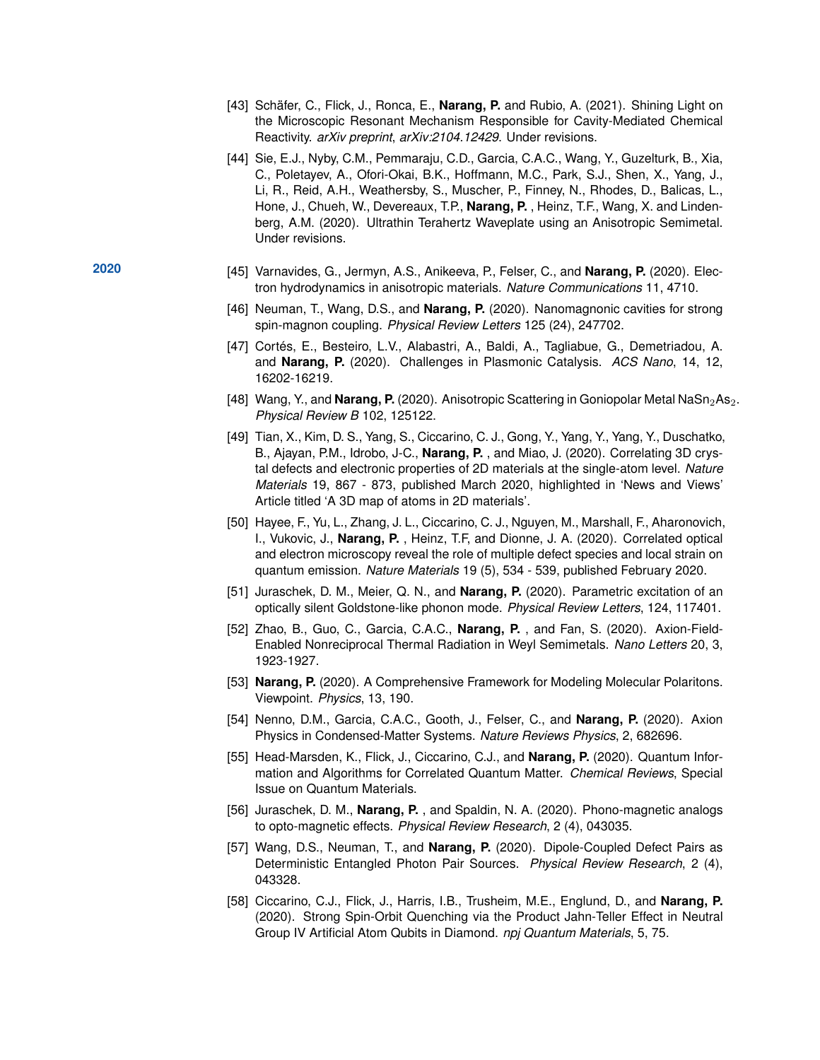- [43] Schäfer, C., Flick, J., Ronca, E., **Narang, P.** and Rubio, A. (2021). Shining Light on the Microscopic Resonant Mechanism Responsible for Cavity-Mediated Chemical Reactivity. *arXiv preprint*, *arXiv:2104.12429*. Under revisions.
- [44] Sie, E.J., Nyby, C.M., Pemmaraju, C.D., Garcia, C.A.C., Wang, Y., Guzelturk, B., Xia, C., Poletayev, A., Ofori-Okai, B.K., Hoffmann, M.C., Park, S.J., Shen, X., Yang, J., Li, R., Reid, A.H., Weathersby, S., Muscher, P., Finney, N., Rhodes, D., Balicas, L., Hone, J., Chueh, W., Devereaux, T.P., **Narang, P.** , Heinz, T.F., Wang, X. and Lindenberg, A.M. (2020). Ultrathin Terahertz Waveplate using an Anisotropic Semimetal. Under revisions.
- **2020** [45] Varnavides, G., Jermyn, A.S., Anikeeva, P., Felser, C., and **Narang, P.** (2020). Electron hydrodynamics in anisotropic materials. *Nature Communications* 11, 4710.
	- [46] Neuman, T., Wang, D.S., and **Narang, P.** (2020). Nanomagnonic cavities for strong spin-magnon coupling. *Physical Review Letters* 125 (24), 247702.
	- [47] Cortés, E., Besteiro, L.V., Alabastri, A., Baldi, A., Tagliabue, G., Demetriadou, A. and **Narang, P.** (2020). Challenges in Plasmonic Catalysis. *ACS Nano*, 14, 12, 16202-16219.
	- [48] Wang, Y., and **Narang, P.** (2020). Anisotropic Scattering in Goniopolar Metal NaSn<sub>2</sub>As<sub>2</sub>. *Physical Review B* 102, 125122.
	- [49] Tian, X., Kim, D. S., Yang, S., Ciccarino, C. J., Gong, Y., Yang, Y., Yang, Y., Duschatko, B., Ajayan, P.M., Idrobo, J-C., **Narang, P.** , and Miao, J. (2020). Correlating 3D crystal defects and electronic properties of 2D materials at the single-atom level. *Nature Materials* 19, 867 - 873, published March 2020, highlighted in 'News and Views' Article titled 'A 3D map of atoms in 2D materials'.
	- [50] Hayee, F., Yu, L., Zhang, J. L., Ciccarino, C. J., Nguyen, M., Marshall, F., Aharonovich, I., Vukovic, J., **Narang, P.** , Heinz, T.F, and Dionne, J. A. (2020). Correlated optical and electron microscopy reveal the role of multiple defect species and local strain on quantum emission. *Nature Materials* 19 (5), 534 - 539, published February 2020.
	- [51] Juraschek, D. M., Meier, Q. N., and **Narang, P.** (2020). Parametric excitation of an optically silent Goldstone-like phonon mode. *Physical Review Letters*, 124, 117401.
	- [52] Zhao, B., Guo, C., Garcia, C.A.C., **Narang, P.** , and Fan, S. (2020). Axion-Field-Enabled Nonreciprocal Thermal Radiation in Weyl Semimetals. *Nano Letters* 20, 3, 1923-1927.
	- [53] **Narang, P.** (2020). A Comprehensive Framework for Modeling Molecular Polaritons. Viewpoint. *Physics*, 13, 190.
	- [54] Nenno, D.M., Garcia, C.A.C., Gooth, J., Felser, C., and **Narang, P.** (2020). Axion Physics in Condensed-Matter Systems. *Nature Reviews Physics*, 2, 682696.
	- [55] Head-Marsden, K., Flick, J., Ciccarino, C.J., and **Narang, P.** (2020). Quantum Information and Algorithms for Correlated Quantum Matter. *Chemical Reviews*, Special Issue on Quantum Materials.
	- [56] Juraschek, D. M., **Narang, P.** , and Spaldin, N. A. (2020). Phono-magnetic analogs to opto-magnetic effects. *Physical Review Research*, 2 (4), 043035.
	- [57] Wang, D.S., Neuman, T., and **Narang, P.** (2020). Dipole-Coupled Defect Pairs as Deterministic Entangled Photon Pair Sources. *Physical Review Research*, 2 (4), 043328.
	- [58] Ciccarino, C.J., Flick, J., Harris, I.B., Trusheim, M.E., Englund, D., and **Narang, P.** (2020). Strong Spin-Orbit Quenching via the Product Jahn-Teller Effect in Neutral Group IV Artificial Atom Qubits in Diamond. *npj Quantum Materials*, 5, 75.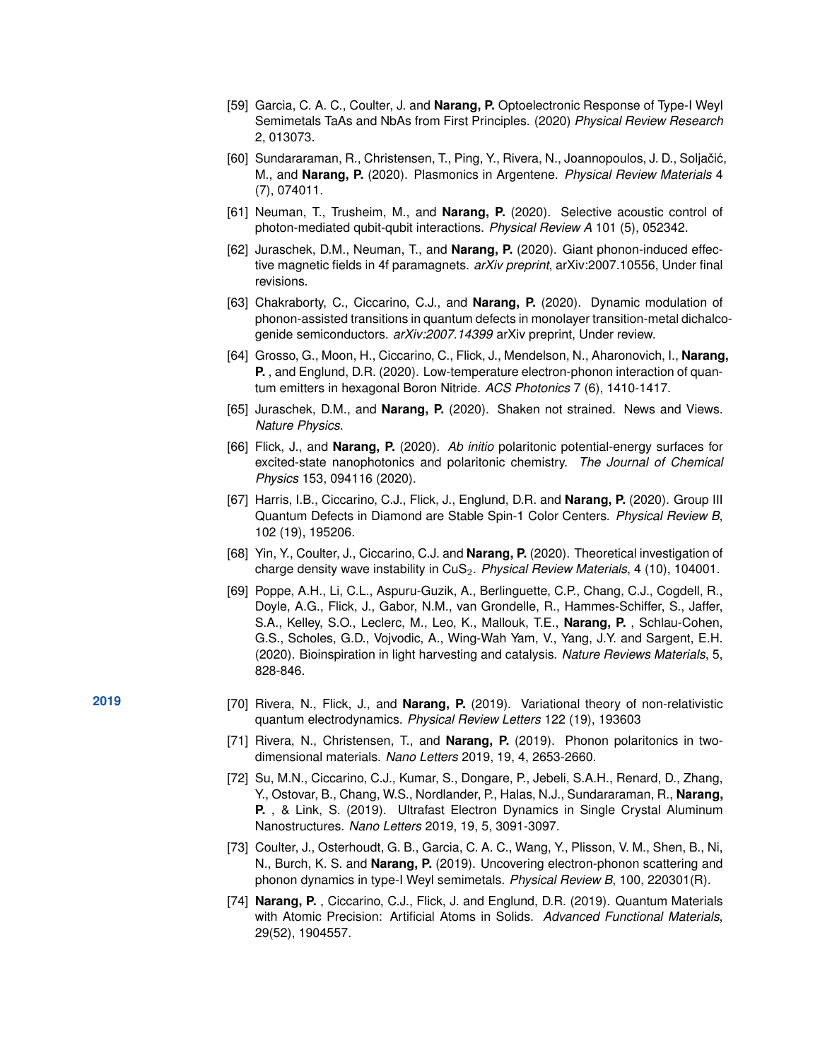- [59] Garcia, C. A. C., Coulter, J. and **Narang, P.** Optoelectronic Response of Type-I Weyl Semimetals TaAs and NbAs from First Principles. (2020) *Physical Review Research* 2, 013073.
- [60] Sundararaman, R., Christensen, T., Ping, Y., Rivera, N., Joannopoulos, J. D., Soljačić, M., and **Narang, P.** (2020). Plasmonics in Argentene. *Physical Review Materials* 4 (7), 074011.
- [61] Neuman, T., Trusheim, M., and **Narang, P.** (2020). Selective acoustic control of photon-mediated qubit-qubit interactions. *Physical Review A* 101 (5), 052342.
- [62] Juraschek, D.M., Neuman, T., and **Narang, P.** (2020). Giant phonon-induced effective magnetic fields in 4f paramagnets. *arXiv preprint*, arXiv:2007.10556, Under final revisions.
- [63] Chakraborty, C., Ciccarino, C.J., and **Narang, P.** (2020). Dynamic modulation of phonon-assisted transitions in quantum defects in monolayer transition-metal dichalcogenide semiconductors. *arXiv:2007.14399* arXiv preprint, Under review.
- [64] Grosso, G., Moon, H., Ciccarino, C., Flick, J., Mendelson, N., Aharonovich, I., **Narang, P.** , and Englund, D.R. (2020). Low-temperature electron-phonon interaction of quantum emitters in hexagonal Boron Nitride. *ACS Photonics* 7 (6), 1410-1417.
- [65] Juraschek, D.M., and **Narang, P.** (2020). Shaken not strained. News and Views. *Nature Physics*.
- [66] Flick, J., and **Narang, P.** (2020). *Ab initio* polaritonic potential-energy surfaces for excited-state nanophotonics and polaritonic chemistry. *The Journal of Chemical Physics* 153, 094116 (2020).
- [67] Harris, I.B., Ciccarino, C.J., Flick, J., Englund, D.R. and **Narang, P.** (2020). Group III Quantum Defects in Diamond are Stable Spin-1 Color Centers. *Physical Review B*, 102 (19), 195206.
- [68] Yin, Y., Coulter, J., Ciccarino, C.J. and **Narang, P.** (2020). Theoretical investigation of charge density wave instability in CuS2. *Physical Review Materials*, 4 (10), 104001.
- [69] Poppe, A.H., Li, C.L., Aspuru-Guzik, A., Berlinguette, C.P., Chang, C.J., Cogdell, R., Doyle, A.G., Flick, J., Gabor, N.M., van Grondelle, R., Hammes-Schiffer, S., Jaffer, S.A., Kelley, S.O., Leclerc, M., Leo, K., Mallouk, T.E., **Narang, P.** , Schlau-Cohen, G.S., Scholes, G.D., Vojvodic, A., Wing-Wah Yam, V., Yang, J.Y. and Sargent, E.H. (2020). Bioinspiration in light harvesting and catalysis. *Nature Reviews Materials*, 5, 828-846.
- **2019** [70] Rivera, N., Flick, J., and **Narang, P.** (2019). Variational theory of non-relativistic quantum electrodynamics. *Physical Review Letters* 122 (19), 193603
	- [71] Rivera, N., Christensen, T., and **Narang, P.** (2019). Phonon polaritonics in twodimensional materials. *Nano Letters* 2019, 19, 4, 2653-2660.
	- [72] Su, M.N., Ciccarino, C.J., Kumar, S., Dongare, P., Jebeli, S.A.H., Renard, D., Zhang, Y., Ostovar, B., Chang, W.S., Nordlander, P., Halas, N.J., Sundararaman, R., **Narang, P.** , & Link, S. (2019). Ultrafast Electron Dynamics in Single Crystal Aluminum Nanostructures. *Nano Letters* 2019, 19, 5, 3091-3097.
	- [73] Coulter, J., Osterhoudt, G. B., Garcia, C. A. C., Wang, Y., Plisson, V. M., Shen, B., Ni, N., Burch, K. S. and **Narang, P.** (2019). Uncovering electron-phonon scattering and phonon dynamics in type-I Weyl semimetals. *Physical Review B*, 100, 220301(R).
	- [74] **Narang, P.** , Ciccarino, C.J., Flick, J. and Englund, D.R. (2019). Quantum Materials with Atomic Precision: Artificial Atoms in Solids. *Advanced Functional Materials*, 29(52), 1904557.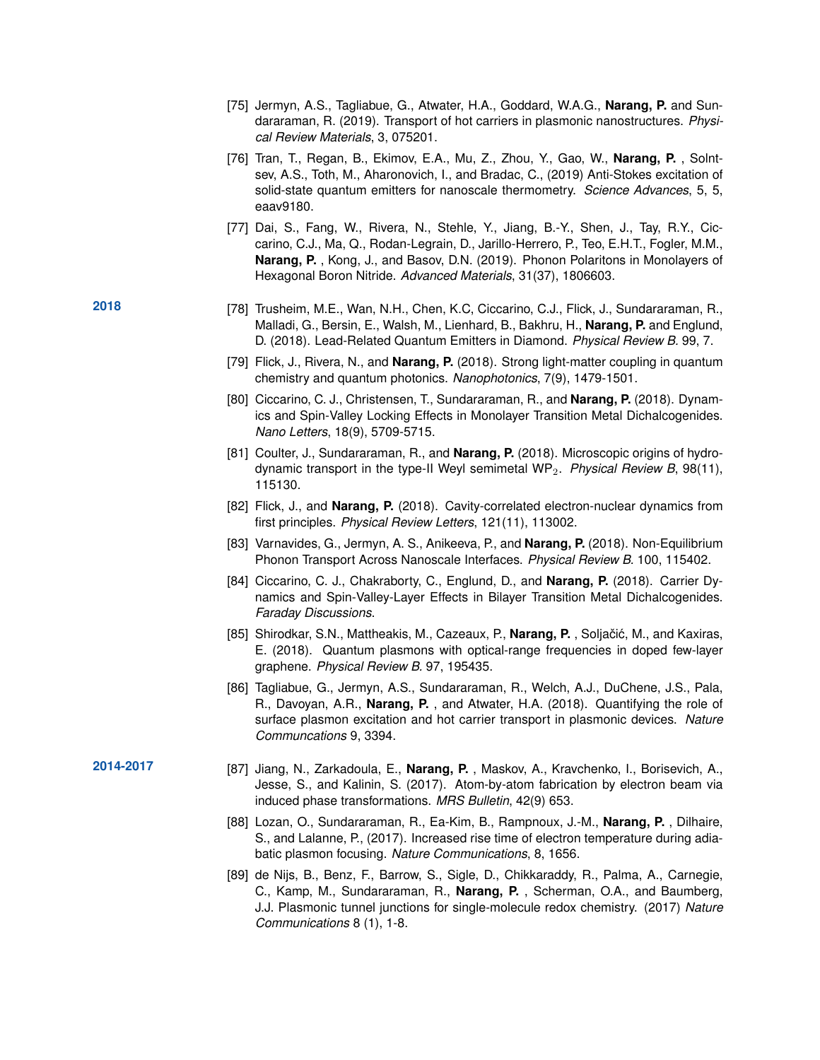- [75] Jermyn, A.S., Tagliabue, G., Atwater, H.A., Goddard, W.A.G., **Narang, P.** and Sundararaman, R. (2019). Transport of hot carriers in plasmonic nanostructures. *Physical Review Materials*, 3, 075201.
- [76] Tran, T., Regan, B., Ekimov, E.A., Mu, Z., Zhou, Y., Gao, W., **Narang, P.** , Solntsev, A.S., Toth, M., Aharonovich, I., and Bradac, C., (2019) Anti-Stokes excitation of solid-state quantum emitters for nanoscale thermometry. *Science Advances*, 5, 5, eaav9180.
- [77] Dai, S., Fang, W., Rivera, N., Stehle, Y., Jiang, B.-Y., Shen, J., Tay, R.Y., Ciccarino, C.J., Ma, Q., Rodan-Legrain, D., Jarillo-Herrero, P., Teo, E.H.T., Fogler, M.M., **Narang, P.** , Kong, J., and Basov, D.N. (2019). Phonon Polaritons in Monolayers of Hexagonal Boron Nitride. *Advanced Materials*, 31(37), 1806603.
- **2018** [78] Trusheim, M.E., Wan, N.H., Chen, K.C, Ciccarino, C.J., Flick, J., Sundararaman, R., Malladi, G., Bersin, E., Walsh, M., Lienhard, B., Bakhru, H., **Narang, P.** and Englund, D. (2018). Lead-Related Quantum Emitters in Diamond. *Physical Review B.* 99, 7.
	- [79] Flick, J., Rivera, N., and **Narang, P.** (2018). Strong light-matter coupling in quantum chemistry and quantum photonics. *Nanophotonics*, 7(9), 1479-1501.
	- [80] Ciccarino, C. J., Christensen, T., Sundararaman, R., and **Narang, P.** (2018). Dynamics and Spin-Valley Locking Effects in Monolayer Transition Metal Dichalcogenides. *Nano Letters*, 18(9), 5709-5715.
	- [81] Coulter, J., Sundararaman, R., and **Narang, P.** (2018). Microscopic origins of hydrodynamic transport in the type-II Weyl semimetal WP2. *Physical Review B*, 98(11), 115130.
	- [82] Flick, J., and **Narang, P.** (2018). Cavity-correlated electron-nuclear dynamics from first principles. *Physical Review Letters*, 121(11), 113002.
	- [83] Varnavides, G., Jermyn, A. S., Anikeeva, P., and **Narang, P.** (2018). Non-Equilibrium Phonon Transport Across Nanoscale Interfaces. *Physical Review B.* 100, 115402.
	- [84] Ciccarino, C. J., Chakraborty, C., Englund, D., and **Narang, P.** (2018). Carrier Dynamics and Spin-Valley-Layer Effects in Bilayer Transition Metal Dichalcogenides. *Faraday Discussions*.
	- [85] Shirodkar, S.N., Mattheakis, M., Cazeaux, P., **Narang, P.**, Soljačić, M., and Kaxiras, E. (2018). Quantum plasmons with optical-range frequencies in doped few-layer graphene. *Physical Review B.* 97, 195435.
	- [86] Tagliabue, G., Jermyn, A.S., Sundararaman, R., Welch, A.J., DuChene, J.S., Pala, R., Davoyan, A.R., **Narang, P.** , and Atwater, H.A. (2018). Quantifying the role of surface plasmon excitation and hot carrier transport in plasmonic devices. *Nature Communcations* 9, 3394.
- **2014-2017** [87] Jiang, N., Zarkadoula, E., **Narang, P.** , Maskov, A., Kravchenko, I., Borisevich, A., Jesse, S., and Kalinin, S. (2017). Atom-by-atom fabrication by electron beam via induced phase transformations. *MRS Bulletin*, 42(9) 653.
	- [88] Lozan, O., Sundararaman, R., Ea-Kim, B., Rampnoux, J.-M., **Narang, P.** , Dilhaire, S., and Lalanne, P., (2017). Increased rise time of electron temperature during adiabatic plasmon focusing. *Nature Communications*, 8, 1656.
	- [89] de Nijs, B., Benz, F., Barrow, S., Sigle, D., Chikkaraddy, R., Palma, A., Carnegie, C., Kamp, M., Sundararaman, R., **Narang, P.** , Scherman, O.A., and Baumberg, J.J. Plasmonic tunnel junctions for single-molecule redox chemistry. (2017) *Nature Communications* 8 (1), 1-8.